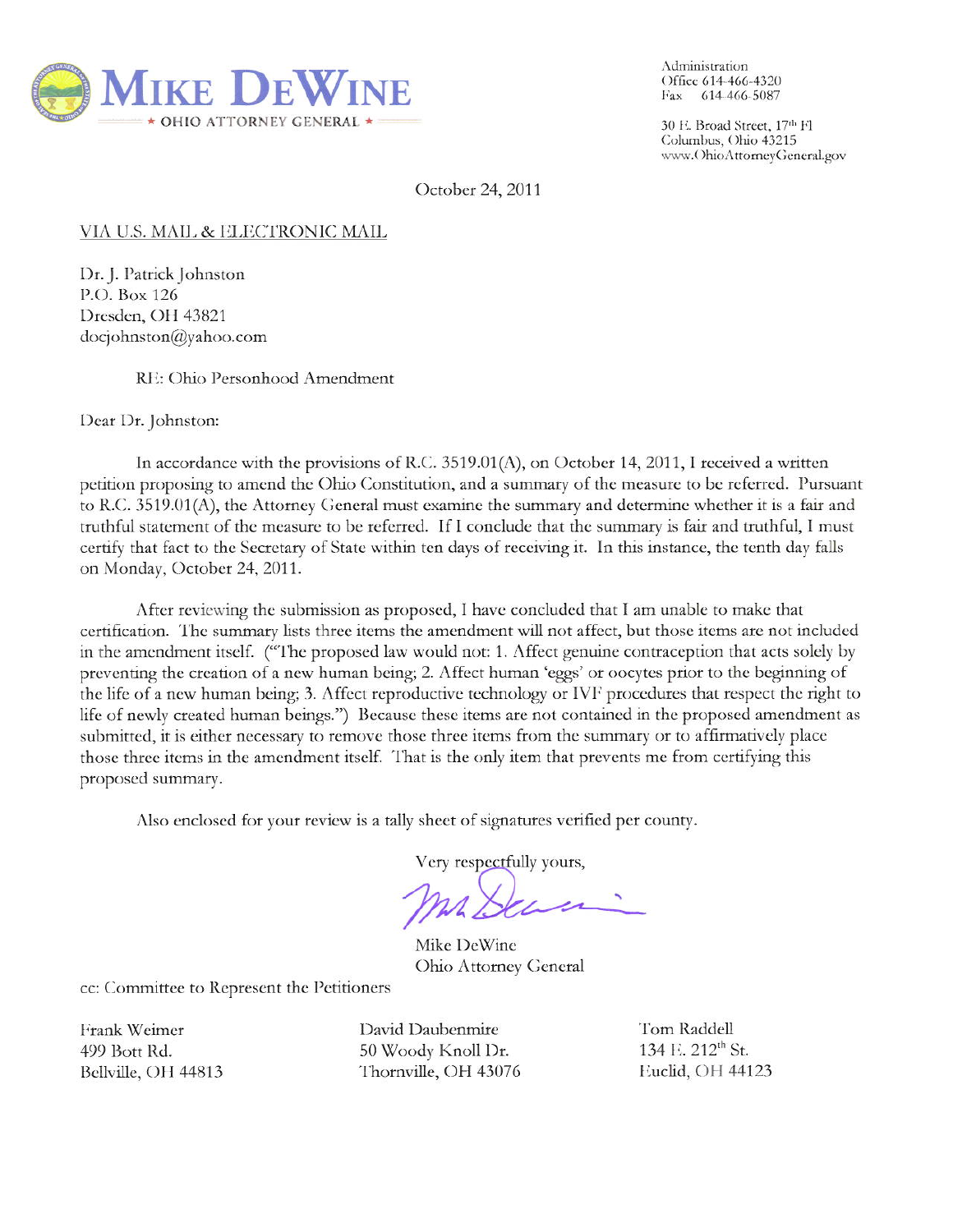

Administration Office 614-466-4320 Fax 614-466-5087

30 E. Broad Street, 17th Fl Columbus, Ohio 43215 www.OhioAttorneyGeneral.gov

October 24, 2011

## VIA U.S. MAIL & ELECTRONIC MAIL

Dr. J. Patrick Johnston P.O. Box 126 Dresden, OH 43821  $d$ ocjohnston@yahoo.com

## RE: Ohio Personhood Amendment

Dear Dr. Johnston:

In accordance with the provisions of R.C. 3519.01(A), on October 14, 2011, I received a written petition proposing to amend the Ohio Constitution, and a summary of the measure to be referred. Pursuant to R.C. 3519.01(A), the Attorney General must examine the summary and determine whether it is a fair and truthful statement of the measure to be referred. If I conclude that the summary is fair and truthful, I must certify that fact to the Secretary of State within ten days of receiving it. In this instance, the tenth day falls on Monday, October 24, 2011.

After reviewing the submission as proposed, I have concluded that I am unable to make that certification. The summary lists three items the amendment will not affect, but those items are not included in the amendment itself. ("The proposed law would not: 1. Affect genuine contraception that acts solely by preventing the creation of a new human being; 2. Affect human 'eggs' or oocytes prior to the beginning of the life of a new human being; 3. Affect reproductive technology or IVF procedures that respect the right to life of newly created human beings.") Because these items are not contained in the proposed amendment as submitted, it is either necessary to remove those three items from the summary or to affirmatively place those three items in the amendment itself. That is the only item that prevents me from certifying this proposed summary.

Also enclosed for your review is a tally sheet of signatures verified per county.

Very respectfully yours,

Mike DeWine Ohio Attorney General

cc: Committee to Represent the Petitioners

Frank Weimer 499 Bott Rd. Bellville, OH 44813

David Daubenmire 50 Woody Knoll Dr. Thornville, OH 43076 Tom Raddell 134 E. 212<sup>th</sup> St. Euclid, OH 44123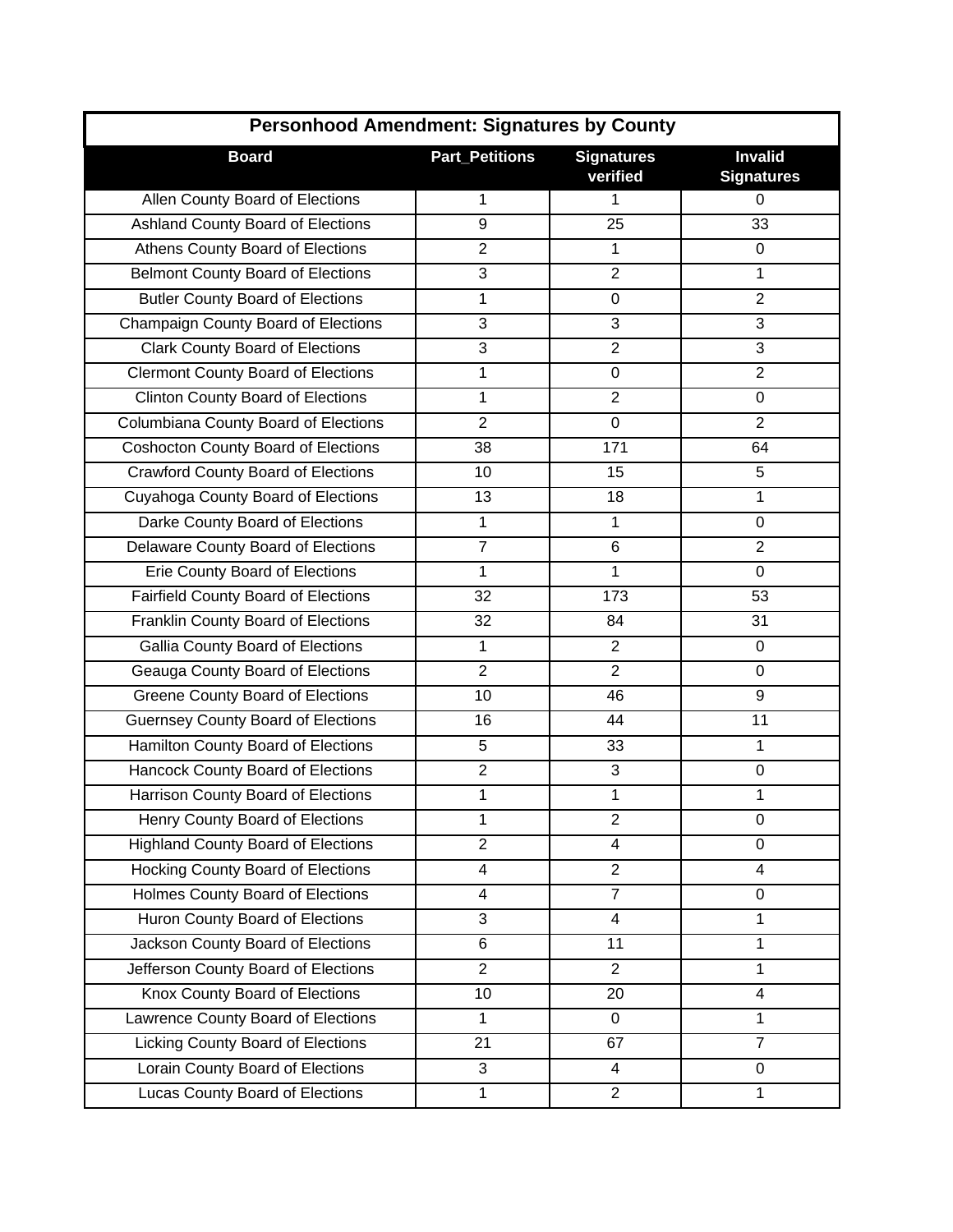| <b>Personhood Amendment: Signatures by County</b> |                       |                               |                                     |
|---------------------------------------------------|-----------------------|-------------------------------|-------------------------------------|
| <b>Board</b>                                      | <b>Part_Petitions</b> | <b>Signatures</b><br>verified | <b>Invalid</b><br><b>Signatures</b> |
| Allen County Board of Elections                   | 1                     | 1                             | 0                                   |
| Ashland County Board of Elections                 | 9                     | 25                            | 33                                  |
| Athens County Board of Elections                  | $\overline{2}$        | 1                             | $\mathbf 0$                         |
| <b>Belmont County Board of Elections</b>          | 3                     | $\overline{2}$                | 1                                   |
| <b>Butler County Board of Elections</b>           | 1                     | 0                             | $\overline{2}$                      |
| Champaign County Board of Elections               | 3                     | 3                             | 3                                   |
| <b>Clark County Board of Elections</b>            | 3                     | $\overline{2}$                | 3                                   |
| <b>Clermont County Board of Elections</b>         | 1                     | 0                             | $\overline{2}$                      |
| <b>Clinton County Board of Elections</b>          | 1                     | $\overline{2}$                | 0                                   |
| Columbiana County Board of Elections              | $\overline{2}$        | $\mathbf 0$                   | $\overline{2}$                      |
| <b>Coshocton County Board of Elections</b>        | 38                    | 171                           | 64                                  |
| <b>Crawford County Board of Elections</b>         | 10                    | 15                            | 5                                   |
| Cuyahoga County Board of Elections                | 13                    | 18                            | 1                                   |
| Darke County Board of Elections                   | 1                     | 1                             | 0                                   |
| Delaware County Board of Elections                | $\overline{7}$        | 6                             | $\overline{2}$                      |
| Erie County Board of Elections                    | 1                     | 1                             | 0                                   |
| <b>Fairfield County Board of Elections</b>        | 32                    | 173                           | 53                                  |
| Franklin County Board of Elections                | 32                    | 84                            | 31                                  |
| Gallia County Board of Elections                  | 1                     | $\overline{2}$                | 0                                   |
| Geauga County Board of Elections                  | $\overline{2}$        | $\overline{2}$                | 0                                   |
| <b>Greene County Board of Elections</b>           | 10                    | 46                            | 9                                   |
| <b>Guernsey County Board of Elections</b>         | 16                    | 44                            | 11                                  |
| Hamilton County Board of Elections                | 5                     | 33                            | 1                                   |
| Hancock County Board of Elections                 | $\overline{2}$        | $\sqrt{3}$                    | $\boldsymbol{0}$                    |
| Harrison County Board of Elections                | 1                     | 1                             | 1                                   |
| Henry County Board of Elections                   | 1                     | $\overline{2}$                | 0                                   |
| <b>Highland County Board of Elections</b>         | $\overline{2}$        | 4                             | $\mathbf 0$                         |
| Hocking County Board of Elections                 | 4                     | $\overline{2}$                | $\overline{4}$                      |
| Holmes County Board of Elections                  | 4                     | $\overline{7}$                | 0                                   |
| Huron County Board of Elections                   | 3                     | 4                             | $\mathbf{1}$                        |
| Jackson County Board of Elections                 | $\,6$                 | 11                            | $\mathbf{1}$                        |
| Jefferson County Board of Elections               | $\overline{2}$        | $\overline{2}$                | 1                                   |
| Knox County Board of Elections                    | 10                    | 20                            | $\overline{4}$                      |
| Lawrence County Board of Elections                | 1                     | 0                             | 1                                   |
| Licking County Board of Elections                 | 21                    | 67                            | $\overline{7}$                      |
| Lorain County Board of Elections                  | 3                     | 4                             | 0                                   |
| Lucas County Board of Elections                   | 1                     | $\overline{2}$                | 1                                   |